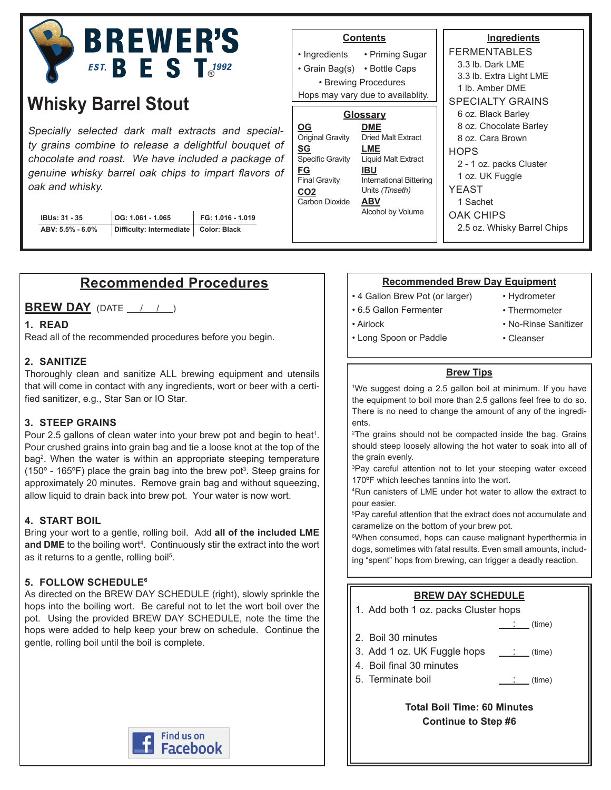

# **Whisky Barrel Stout**

Specially selected dark malt extracts and specialty grains combine to release a delightful bouquet of chocolate and roast. We have included a package of genuine whisky barrel oak chips to impart flavors of oak and whisky.

| <b>IBUs: 31 - 35</b> | OG: 1.061 - 1.065        |  |
|----------------------|--------------------------|--|
| ABV: 5.5% - 6.0%     | Difficulty: Intermediate |  |

#### **Ingredients** FERMENTABLES 3.3 lb. Dark LME 3.3 lb. Extra Light LME 1 lb. Amber DME SPECIALTY GRAINS 6 oz. Black Barley 8 oz. Chocolate Barley 8 oz. Cara Brown **HOPS** 2 - 1 oz. packs Cluster 1 oz. UK Fuggle YEAST 1 Sachet OAK CHIPS 2.5 oz. Whisky Barrel Chips **Contents** • Priming Sugar • Grain Bag(s) • Bottle Caps • Ingredients • Brewing Procedures **Glossary DME** Dried Malt Extract **LME** Liquid Malt Extract **IBU** International Bittering Units (Tinseth) **ABV** Alcohol by Volume **OG** Original Gravity **SG** Specific Gravity **FG** Final Gravity **CO2** Carbon Dioxide Hops may vary due to availablity.

## **Recommended Procedures**

**Difficulty: Intermediate Color: Black**

**FG: 1.016 - 1.019**

### **BREW DAY** (DATE / / )

### **1. READ**

Read all of the recommended procedures before you begin.

### **2. SANITIZE**

Thoroughly clean and sanitize ALL brewing equipment and utensils that will come in contact with any ingredients, wort or beer with a certified sanitizer, e.g., Star San or IO Star.

### **3. STEEP GRAINS**

Pour 2.5 gallons of clean water into your brew pot and begin to heat<sup>1</sup>. Pour crushed grains into grain bag and tie a loose knot at the top of the bag<sup>2</sup>. When the water is within an appropriate steeping temperature (150° - 165°F) place the grain bag into the brew pot<sup>3</sup>. Steep grains for approximately 20 minutes. Remove grain bag and without squeezing, allow liquid to drain back into brew pot. Your water is now wort.

### **4. START BOIL**

Bring your wort to a gentle, rolling boil. Add **all of the included LME**  and DME to the boiling wort<sup>4</sup>. Continuously stir the extract into the wort as it returns to a gentle, rolling boil<sup>5</sup>.

### **5. FOLLOW SCHEDULE6**

As directed on the BREW DAY SCHEDULE (right), slowly sprinkle the hops into the boiling wort. Be careful not to let the wort boil over the pot. Using the provided BREW DAY SCHEDULE, note the time the hops were added to help keep your brew on schedule. Continue the gentle, rolling boil until the boil is complete.



### **Recommended Brew Day Equipment**

- 4 Gallon Brew Pot (or larger)
- 6.5 Gallon Fermenter
- 

• Hydrometer

: (time)

• Thermometer

• Airlock

- No-Rinse Sanitizer • Cleanser
- Long Spoon or Paddle
- 

### **Brew Tips**

1 We suggest doing a 2.5 gallon boil at minimum. If you have the equipment to boil more than 2.5 gallons feel free to do so. There is no need to change the amount of any of the ingredients.

2 The grains should not be compacted inside the bag. Grains should steep loosely allowing the hot water to soak into all of the grain evenly.

3 Pay careful attention not to let your steeping water exceed 170ºF which leeches tannins into the wort.

4 Run canisters of LME under hot water to allow the extract to pour easier.

5 Pay careful attention that the extract does not accumulate and caramelize on the bottom of your brew pot.

6 When consumed, hops can cause malignant hyperthermia in dogs, sometimes with fatal results. Even small amounts, including "spent" hops from brewing, can trigger a deadly reaction.

### **BREW DAY SCHEDULE**

1. Add both 1 oz. packs Cluster hops

- 2. Boil 30 minutes
- 3. Add 1 oz. UK Fuggle hops  $\quad \underline{\quad : \quad}$  (time)
- 4. Boil final 30 minutes
- 5. Terminate boil : (time)

### **Total Boil Time: 60 Minutes Continue to Step #6**